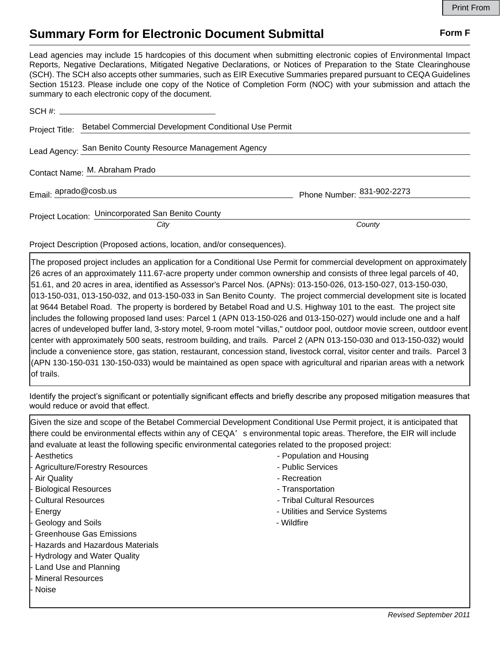## **Summary Form for Electronic Document Submittal Form F Form F**

Lead agencies may include 15 hardcopies of this document when submitting electronic copies of Environmental Impact Reports, Negative Declarations, Mitigated Negative Declarations, or Notices of Preparation to the State Clearinghouse (SCH). The SCH also accepts other summaries, such as EIR Executive Summaries prepared pursuant to CEQA Guidelines Section 15123. Please include one copy of the Notice of Completion Form (NOC) with your submission and attach the summary to each electronic copy of the document.

| Project Title: Betabel Commercial Development Conditional Use Permit |                            |
|----------------------------------------------------------------------|----------------------------|
| Lead Agency: San Benito County Resource Management Agency            |                            |
| Contact Name: M. Abraham Prado                                       |                            |
| Email: aprado@cosb.us                                                | Phone Number: 831-902-2273 |
| Project Location: Unincorporated San Benito County<br>City           | County                     |

Project Description (Proposed actions, location, and/or consequences).

The proposed project includes an application for a Conditional Use Permit for commercial development on approximately 26 acres of an approximately 111.67-acre property under common ownership and consists of three legal parcels of 40, 51.61, and 20 acres in area, identified as Assessor's Parcel Nos. (APNs): 013-150-026, 013-150-027, 013-150-030, 013-150-031, 013-150-032, and 013-150-033 in San Benito County. The project commercial development site is located at 9644 Betabel Road. The property is bordered by Betabel Road and U.S. Highway 101 to the east. The project site includes the following proposed land uses: Parcel 1 (APN 013-150-026 and 013-150-027) would include one and a half acres of undeveloped buffer land, 3-story motel, 9-room motel "villas," outdoor pool, outdoor movie screen, outdoor event center with approximately 500 seats, restroom building, and trails. Parcel 2 (APN 013-150-030 and 013-150-032) would include a convenience store, gas station, restaurant, concession stand, livestock corral, visitor center and trails. Parcel 3 (APN 130-150-031 130-150-033) would be maintained as open space with agricultural and riparian areas with a network of trails.

Identify the project's significant or potentially significant effects and briefly describe any proposed mitigation measures that would reduce or avoid that effect.

Given the size and scope of the Betabel Commercial Development Conditional Use Permit project, it is anticipated that there could be environmental effects within any of CEQA's environmental topic areas. Therefore, the EIR will include and evaluate at least the following specific environmental categories related to the proposed project:

- 
- Agriculture/Forestry Resources **Agriculture/Forestry Resources** Public Services
- 
- Biological Resources Transportation
- 
- 
- Geology and Soils **Geology** and Soils  **Wildfire**
- Greenhouse Gas Emissions
- Hazards and Hazardous Materials
- Hydrology and Water Quality
- Land Use and Planning
- Mineral Resources
- **Noise**
- Aesthetics  **Population and Housing** Population and Housing
	-
- Air Quality  **Air Quality Recreation** Recreation Recreation
	-
- Cultural Resources Tribal Cultural Resources
- Energy **Energy Energy**  $\sim$  Utilities and Service Systems
	-